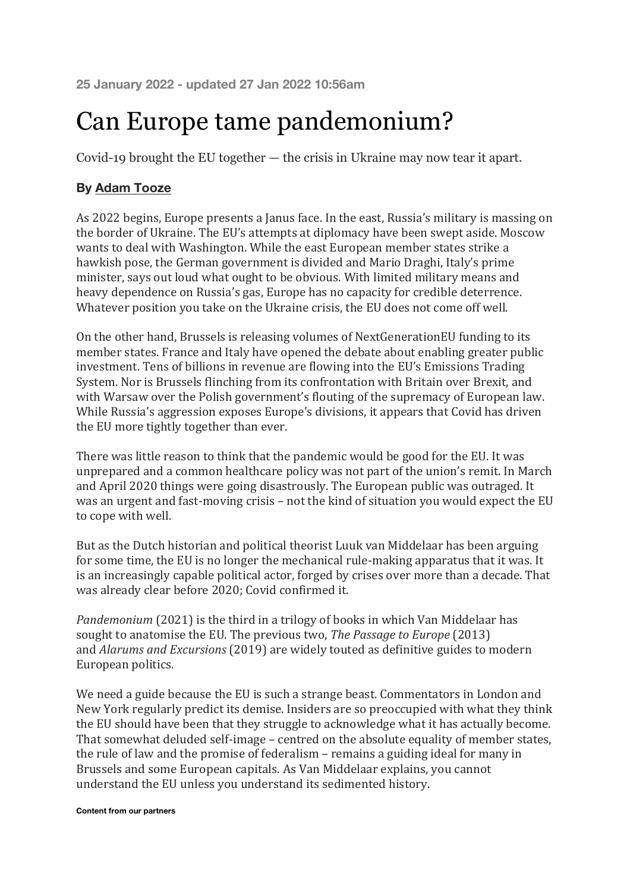## Can Europe tame pandemonium?

Covid-19 brought the EU together — the crisis in Ukraine may now tear it apart.

## **By Adam Tooze**

As 2022 begins, Europe presents a Janus face. In the east, Russia's military is massing on the border of Ukraine. The EU's attempts at diplomacy have been swept aside. Moscow wants to deal with Washington. While the east European member states strike a hawkish pose, the German government is divided and Mario Draghi, Italy's prime minister, says out loud what ought to be obvious. With limited military means and heavy dependence on Russia's gas, Europe has no capacity for credible deterrence. Whatever position you take on the Ukraine crisis, the EU does not come off well.

On the other hand, Brussels is releasing volumes of NextGenerationEU funding to its member states. France and Italy have opened the debate about enabling greater public investment. Tens of billions in revenue are flowing into the EU's Emissions Trading System. Nor is Brussels flinching from its confrontation with Britain over Brexit, and with Warsaw over the Polish government's flouting of the supremacy of European law. While Russia's aggression exposes Europe's divisions, it appears that Covid has driven the EU more tightly together than ever.

There was little reason to think that the pandemic would be good for the EU. It was unprepared and a common healthcare policy was not part of the union's remit. In March and April 2020 things were going disastrously. The European public was outraged. It was an urgent and fast-moving crisis - not the kind of situation you would expect the EU to cope with well.

But as the Dutch historian and political theorist Luuk van Middelaar has been arguing for some time, the EU is no longer the mechanical rule-making apparatus that it was. It is an increasingly capable political actor, forged by crises over more than a decade. That was already clear before 2020; Covid confirmed it.

*Pandemonium* (2021) is the third in a trilogy of books in which Van Middelaar has sought to anatomise the EU. The previous two, *The Passage to Europe* (2013) and *Alarums and Excursions* (2019) are widely touted as definitive guides to modern European politics.

We need a guide because the EU is such a strange beast. Commentators in London and New York regularly predict its demise. Insiders are so preoccupied with what they think the EU should have been that they struggle to acknowledge what it has actually become. That somewhat deluded self-image – centred on the absolute equality of member states, the rule of law and the promise of federalism  $-$  remains a guiding ideal for many in Brussels and some European capitals. As Van Middelaar explains, you cannot understand the EU unless you understand its sedimented history.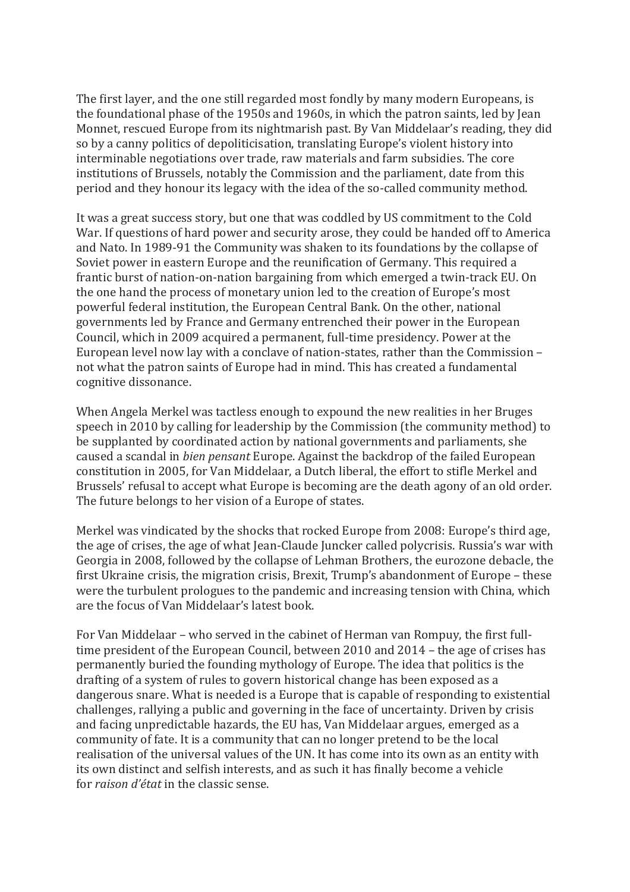The first layer, and the one still regarded most fondly by many modern Europeans, is the foundational phase of the 1950s and 1960s, in which the patron saints, led by Jean Monnet, rescued Europe from its nightmarish past. By Van Middelaar's reading, they did so by a canny politics of depoliticisation, translating Europe's violent history into interminable negotiations over trade, raw materials and farm subsidies. The core institutions of Brussels, notably the Commission and the parliament, date from this period and they honour its legacy with the idea of the so-called community method.

It was a great success story, but one that was coddled by US commitment to the Cold War. If questions of hard power and security arose, they could be handed off to America and Nato. In 1989-91 the Community was shaken to its foundations by the collapse of Soviet power in eastern Europe and the reunification of Germany. This required a frantic burst of nation-on-nation bargaining from which emerged a twin-track EU. On the one hand the process of monetary union led to the creation of Europe's most powerful federal institution, the European Central Bank. On the other, national governments led by France and Germany entrenched their power in the European Council, which in 2009 acquired a permanent, full-time presidency. Power at the European level now lay with a conclave of nation-states, rather than the Commission not what the patron saints of Europe had in mind. This has created a fundamental cognitive dissonance.

When Angela Merkel was tactless enough to expound the new realities in her Bruges speech in 2010 by calling for leadership by the Commission (the community method) to be supplanted by coordinated action by national governments and parliaments, she caused a scandal in *bien pensant* Europe. Against the backdrop of the failed European constitution in 2005, for Van Middelaar, a Dutch liberal, the effort to stifle Merkel and Brussels' refusal to accept what Europe is becoming are the death agony of an old order. The future belongs to her vision of a Europe of states.

Merkel was vindicated by the shocks that rocked Europe from 2008: Europe's third age, the age of crises, the age of what Jean-Claude Juncker called polycrisis. Russia's war with Georgia in 2008, followed by the collapse of Lehman Brothers, the eurozone debacle, the first Ukraine crisis, the migration crisis, Brexit, Trump's abandonment of Europe – these were the turbulent prologues to the pandemic and increasing tension with China, which are the focus of Van Middelaar's latest book.

For Van Middelaar – who served in the cabinet of Herman van Rompuy, the first fulltime president of the European Council, between  $2010$  and  $2014$  – the age of crises has permanently buried the founding mythology of Europe. The idea that politics is the drafting of a system of rules to govern historical change has been exposed as a dangerous snare. What is needed is a Europe that is capable of responding to existential challenges, rallying a public and governing in the face of uncertainty. Driven by crisis and facing unpredictable hazards, the EU has, Van Middelaar argues, emerged as a community of fate. It is a community that can no longer pretend to be the local realisation of the universal values of the UN. It has come into its own as an entity with its own distinct and selfish interests, and as such it has finally become a vehicle for *raison d'état* in the classic sense.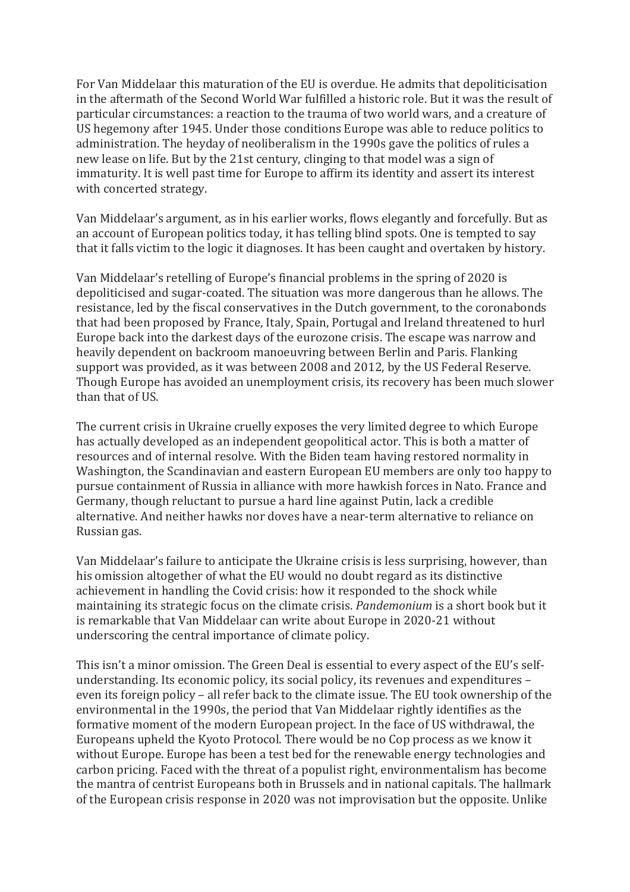For Van Middelaar this maturation of the EU is overdue. He admits that depoliticisation in the aftermath of the Second World War fulfilled a historic role. But it was the result of particular circumstances: a reaction to the trauma of two world wars, and a creature of US hegemony after 1945. Under those conditions Europe was able to reduce politics to administration. The heyday of neoliberalism in the 1990s gave the politics of rules a new lease on life. But by the 21st century, clinging to that model was a sign of immaturity. It is well past time for Europe to affirm its identity and assert its interest with concerted strategy.

Van Middelaar's argument, as in his earlier works, flows elegantly and forcefully. But as an account of European politics today, it has telling blind spots. One is tempted to say that it falls victim to the logic it diagnoses. It has been caught and overtaken by history.

Van Middelaar's retelling of Europe's financial problems in the spring of 2020 is depoliticised and sugar-coated. The situation was more dangerous than he allows. The resistance, led by the fiscal conservatives in the Dutch government, to the coronabonds that had been proposed by France, Italy, Spain, Portugal and Ireland threatened to hurl Europe back into the darkest days of the eurozone crisis. The escape was narrow and heavily dependent on backroom manoeuvring between Berlin and Paris. Flanking support was provided, as it was between 2008 and 2012, by the US Federal Reserve. Though Europe has avoided an unemployment crisis, its recovery has been much slower than that of US.

The current crisis in Ukraine cruelly exposes the very limited degree to which Europe has actually developed as an independent geopolitical actor. This is both a matter of resources and of internal resolve. With the Biden team having restored normality in Washington, the Scandinavian and eastern European EU members are only too happy to pursue containment of Russia in alliance with more hawkish forces in Nato. France and Germany, though reluctant to pursue a hard line against Putin, lack a credible alternative. And neither hawks nor doves have a near-term alternative to reliance on Russian gas.

Van Middelaar's failure to anticipate the Ukraine crisis is less surprising, however, than his omission altogether of what the EU would no doubt regard as its distinctive achievement in handling the Covid crisis: how it responded to the shock while maintaining its strategic focus on the climate crisis. *Pandemonium* is a short book but it is remarkable that Van Middelaar can write about Europe in 2020-21 without underscoring the central importance of climate policy.

This isn't a minor omission. The Green Deal is essential to every aspect of the EU's selfunderstanding. Its economic policy, its social policy, its revenues and expenditures – even its foreign policy – all refer back to the climate issue. The EU took ownership of the environmental in the 1990s, the period that Van Middelaar rightly identifies as the formative moment of the modern European project. In the face of US withdrawal, the Europeans upheld the Kyoto Protocol. There would be no Cop process as we know it without Europe. Europe has been a test bed for the renewable energy technologies and carbon pricing. Faced with the threat of a populist right, environmentalism has become the mantra of centrist Europeans both in Brussels and in national capitals. The hallmark of the European crisis response in 2020 was not improvisation but the opposite. Unlike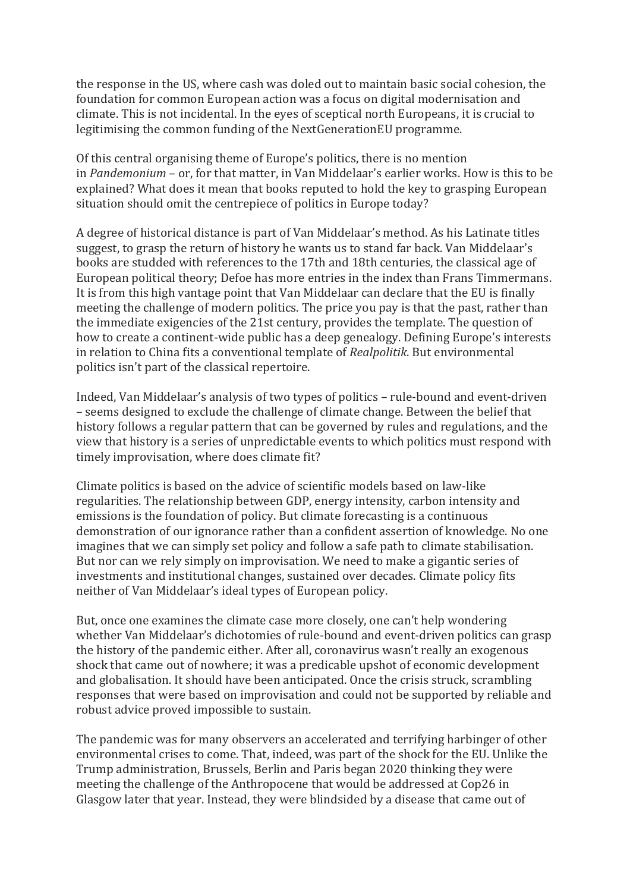the response in the US, where cash was doled out to maintain basic social cohesion, the foundation for common European action was a focus on digital modernisation and climate. This is not incidental. In the eyes of sceptical north Europeans, it is crucial to legitimising the common funding of the NextGenerationEU programme.

Of this central organising theme of Europe's politics, there is no mention in *Pandemonium* – or, for that matter, in Van Middelaar's earlier works. How is this to be explained? What does it mean that books reputed to hold the key to grasping European situation should omit the centrepiece of politics in Europe today?

A degree of historical distance is part of Van Middelaar's method. As his Latinate titles suggest, to grasp the return of history he wants us to stand far back. Van Middelaar's books are studded with references to the 17th and 18th centuries, the classical age of European political theory; Defoe has more entries in the index than Frans Timmermans. It is from this high vantage point that Van Middelaar can declare that the EU is finally meeting the challenge of modern politics. The price you pay is that the past, rather than the immediate exigencies of the 21st century, provides the template. The question of how to create a continent-wide public has a deep genealogy. Defining Europe's interests in relation to China fits a conventional template of *Realpolitik*. But environmental politics isn't part of the classical repertoire.

Indeed, Van Middelaar's analysis of two types of politics – rule-bound and event-driven – seems designed to exclude the challenge of climate change. Between the belief that history follows a regular pattern that can be governed by rules and regulations, and the view that history is a series of unpredictable events to which politics must respond with timely improvisation, where does climate fit?

Climate politics is based on the advice of scientific models based on law-like regularities. The relationship between GDP, energy intensity, carbon intensity and emissions is the foundation of policy. But climate forecasting is a continuous demonstration of our ignorance rather than a confident assertion of knowledge. No one imagines that we can simply set policy and follow a safe path to climate stabilisation. But nor can we rely simply on improvisation. We need to make a gigantic series of investments and institutional changes, sustained over decades. Climate policy fits neither of Van Middelaar's ideal types of European policy.

But, once one examines the climate case more closely, one can't help wondering whether Van Middelaar's dichotomies of rule-bound and event-driven politics can grasp the history of the pandemic either. After all, coronavirus wasn't really an exogenous shock that came out of nowhere; it was a predicable upshot of economic development and globalisation. It should have been anticipated. Once the crisis struck, scrambling responses that were based on improvisation and could not be supported by reliable and robust advice proved impossible to sustain.

The pandemic was for many observers an accelerated and terrifying harbinger of other environmental crises to come. That, indeed, was part of the shock for the EU. Unlike the Trump administration, Brussels, Berlin and Paris began 2020 thinking they were meeting the challenge of the Anthropocene that would be addressed at Cop26 in Glasgow later that year. Instead, they were blindsided by a disease that came out of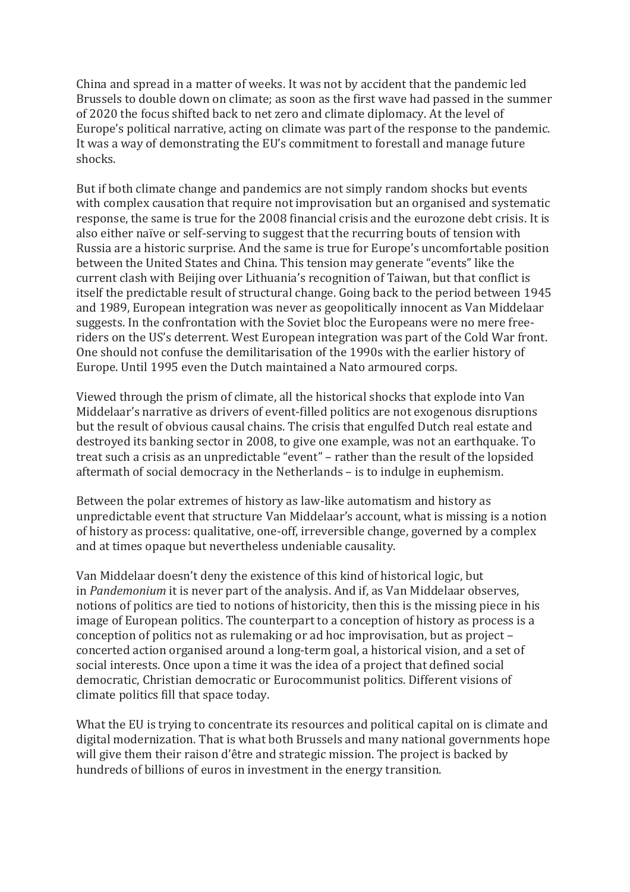China and spread in a matter of weeks. It was not by accident that the pandemic led Brussels to double down on climate; as soon as the first wave had passed in the summer of 2020 the focus shifted back to net zero and climate diplomacy. At the level of Europe's political narrative, acting on climate was part of the response to the pandemic. It was a way of demonstrating the EU's commitment to forestall and manage future shocks.

But if both climate change and pandemics are not simply random shocks but events with complex causation that require not improvisation but an organised and systematic response, the same is true for the 2008 financial crisis and the eurozone debt crisis. It is also either naïve or self-serving to suggest that the recurring bouts of tension with Russia are a historic surprise. And the same is true for Europe's uncomfortable position between the United States and China. This tension may generate "events" like the current clash with Beijing over Lithuania's recognition of Taiwan, but that conflict is itself the predictable result of structural change. Going back to the period between 1945 and 1989, European integration was never as geopolitically innocent as Van Middelaar suggests. In the confrontation with the Soviet bloc the Europeans were no mere freeriders on the US's deterrent. West European integration was part of the Cold War front. One should not confuse the demilitarisation of the 1990s with the earlier history of Europe. Until 1995 even the Dutch maintained a Nato armoured corps.

Viewed through the prism of climate, all the historical shocks that explode into Van Middelaar's narrative as drivers of event-filled politics are not exogenous disruptions but the result of obvious causal chains. The crisis that engulfed Dutch real estate and destroyed its banking sector in 2008, to give one example, was not an earthquake. To treat such a crisis as an unpredictable "event" – rather than the result of the lopsided aftermath of social democracy in the Netherlands – is to indulge in euphemism.

Between the polar extremes of history as law-like automatism and history as unpredictable event that structure Van Middelaar's account, what is missing is a notion of history as process: qualitative, one-off, irreversible change, governed by a complex and at times opaque but nevertheless undeniable causality.

Van Middelaar doesn't deny the existence of this kind of historical logic, but in *Pandemonium* it is never part of the analysis. And if, as Van Middelaar observes, notions of politics are tied to notions of historicity, then this is the missing piece in his image of European politics. The counterpart to a conception of history as process is a conception of politics not as rulemaking or ad hoc improvisation, but as project  $$ concerted action organised around a long-term goal, a historical vision, and a set of social interests. Once upon a time it was the idea of a project that defined social democratic, Christian democratic or Eurocommunist politics. Different visions of climate politics fill that space today.

What the EU is trying to concentrate its resources and political capital on is climate and digital modernization. That is what both Brussels and many national governments hope will give them their raison d'être and strategic mission. The project is backed by hundreds of billions of euros in investment in the energy transition.